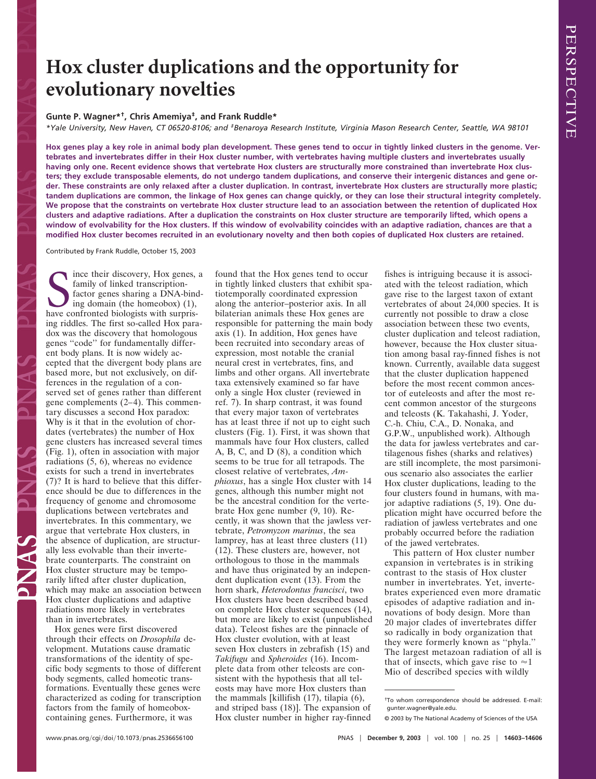## **Hox cluster duplications and the opportunity for evolutionary novelties**

## **Gunte P. Wagner\*†, Chris Amemiya‡, and Frank Ruddle\***

*\*Yale University, New Haven, CT 06520-8106; and ‡Benaroya Research Institute, Virginia Mason Research Center, Seattle, WA 98101*

**Hox genes play a key role in animal body plan development. These genes tend to occur in tightly linked clusters in the genome. Vertebrates and invertebrates differ in their Hox cluster number, with vertebrates having multiple clusters and invertebrates usually having only one. Recent evidence shows that vertebrate Hox clusters are structurally more constrained than invertebrate Hox clusters; they exclude transposable elements, do not undergo tandem duplications, and conserve their intergenic distances and gene order. These constraints are only relaxed after a cluster duplication. In contrast, invertebrate Hox clusters are structurally more plastic; tandem duplications are common, the linkage of Hox genes can change quickly, or they can lose their structural integrity completely. We propose that the constraints on vertebrate Hox cluster structure lead to an association between the retention of duplicated Hox clusters and adaptive radiations. After a duplication the constraints on Hox cluster structure are temporarily lifted, which opens a window of evolvability for the Hox clusters. If this window of evolvability coincides with an adaptive radiation, chances are that a modified Hox cluster becomes recruited in an evolutionary novelty and then both copies of duplicated Hox clusters are retained.**

Contributed by Frank Ruddle, October 15, 2003

Since their discovery, Hox genes,<br>family of linked transcription-<br>factor genes sharing a DNA-bino<br>ing domain (the homeobox) (1),<br>have confronted biologists with surprisince their discovery, Hox genes, a family of linked transcriptionfactor genes sharing a DNA-binding domain (the homeobox) (1), ing riddles. The first so-called Hox paradox was the discovery that homologous genes ''code'' for fundamentally different body plans. It is now widely accepted that the divergent body plans are based more, but not exclusively, on differences in the regulation of a conserved set of genes rather than different gene complements (2–4). This commentary discusses a second Hox paradox: Why is it that in the evolution of chordates (vertebrates) the number of Hox gene clusters has increased several times (Fig. 1), often in association with major radiations (5, 6), whereas no evidence exists for such a trend in invertebrates (7)? It is hard to believe that this difference should be due to differences in the frequency of genome and chromosome duplications between vertebrates and invertebrates. In this commentary, we argue that vertebrate Hox clusters, in the absence of duplication, are structurally less evolvable than their invertebrate counterparts. The constraint on Hox cluster structure may be temporarily lifted after cluster duplication, which may make an association between Hox cluster duplications and adaptive radiations more likely in vertebrates than in invertebrates.

Hox genes were first discovered through their effects on *Drosophila* development. Mutations cause dramatic transformations of the identity of specific body segments to those of different body segments, called homeotic transformations. Eventually these genes were characterized as coding for transcription factors from the family of homeoboxcontaining genes. Furthermore, it was

found that the Hox genes tend to occur in tightly linked clusters that exhibit spatiotemporally coordinated expression along the anterior–posterior axis. In all bilaterian animals these Hox genes are responsible for patterning the main body axis (1). In addition, Hox genes have been recruited into secondary areas of expression, most notable the cranial neural crest in vertebrates, fins, and limbs and other organs. All invertebrate taxa extensively examined so far have only a single Hox cluster (reviewed in ref. 7). In sharp contrast, it was found that every major taxon of vertebrates has at least three if not up to eight such clusters (Fig. 1). First, it was shown that mammals have four Hox clusters, called A, B, C, and D (8), a condition which seems to be true for all tetrapods. The closest relative of vertebrates, *Amphioxus*, has a single Hox cluster with 14 genes, although this number might not be the ancestral condition for the vertebrate Hox gene number (9, 10). Recently, it was shown that the jawless vertebrate, *Petromyzon marinus*, the sea lamprey, has at least three clusters (11) (12). These clusters are, however, not orthologous to those in the mammals and have thus originated by an independent duplication event (13). From the horn shark, *Heterodontus francisci*, two Hox clusters have been described based on complete Hox cluster sequences (14), but more are likely to exist (unpublished data). Teleost fishes are the pinnacle of Hox cluster evolution, with at least seven Hox clusters in zebrafish (15) and *Takifugu* and *Spheroides* (16). Incomplete data from other teleosts are consistent with the hypothesis that all teleosts may have more Hox clusters than the mammals [killifish (17), tilapia (6), and striped bass (18)]. The expansion of Hox cluster number in higher ray-finned

fishes is intriguing because it is associated with the teleost radiation, which gave rise to the largest taxon of extant vertebrates of about 24,000 species. It is currently not possible to draw a close association between these two events, cluster duplication and teleost radiation, however, because the Hox cluster situation among basal ray-finned fishes is not known. Currently, available data suggest that the cluster duplication happened before the most recent common ancestor of euteleosts and after the most recent common ancestor of the sturgeons and teleosts (K. Takahashi, J. Yoder, C.-h. Chiu, C.A., D. Nonaka, and G.P.W., unpublished work). Although the data for jawless vertebrates and cartilagenous fishes (sharks and relatives) are still incomplete, the most parsimonious scenario also associates the earlier Hox cluster duplications, leading to the four clusters found in humans, with major adaptive radiations (5, 19). One duplication might have occurred before the radiation of jawless vertebrates and one probably occurred before the radiation of the jawed vertebrates.

This pattern of Hox cluster number expansion in vertebrates is in striking contrast to the stasis of Hox cluster number in invertebrates. Yet, invertebrates experienced even more dramatic episodes of adaptive radiation and innovations of body design. More than 20 major clades of invertebrates differ so radically in body organization that they were formerly known as ''phyla.'' The largest metazoan radiation of all is that of insects, which gave rise to  $\approx$ 1 Mio of described species with wildly

<sup>†</sup>To whom correspondence should be addressed. E-mail: gunter.wagner@yale.edu.

<sup>© 2003</sup> by The National Academy of Sciences of the USA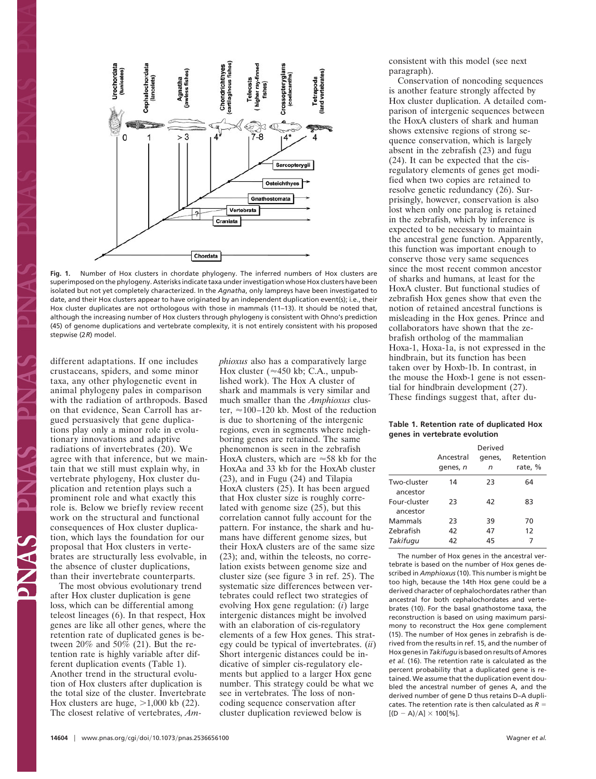

**Fig. 1.** Number of Hox clusters in chordate phylogeny. The inferred numbers of Hox clusters are superimposed on the phylogeny. Asterisks indicate taxa under investigation whose Hox clusters have been isolated but not yet completely characterized. In the *Agnatha*, only lampreys have been investigated to date, and their Hox clusters appear to have originated by an independent duplication event(s); i.e., their Hox cluster duplicates are not orthologous with those in mammals (11–13). It should be noted that, although the increasing number of Hox clusters through phylogeny is consistent with Ohno's prediction (45) of genome duplications and vertebrate complexity, it is not entirely consistent with his proposed stepwise (2*R*) model.

different adaptations. If one includes crustaceans, spiders, and some minor taxa, any other phylogenetic event in animal phylogeny pales in comparison with the radiation of arthropods. Based on that evidence, Sean Carroll has argued persuasively that gene duplications play only a minor role in evolutionary innovations and adaptive radiations of invertebrates (20). We agree with that inference, but we maintain that we still must explain why, in vertebrate phylogeny, Hox cluster duplication and retention plays such a prominent role and what exactly this role is. Below we briefly review recent work on the structural and functional consequences of Hox cluster duplication, which lays the foundation for our proposal that Hox clusters in vertebrates are structurally less evolvable, in the absence of cluster duplications, than their invertebrate counterparts.

The most obvious evolutionary trend after Hox cluster duplication is gene loss, which can be differential among teleost lineages (6). In that respect, Hox genes are like all other genes, where the retention rate of duplicated genes is between 20% and 50% (21). But the retention rate is highly variable after different duplication events (Table 1). Another trend in the structural evolution of Hox clusters after duplication is the total size of the cluster. Invertebrate Hox clusters are huge,  $>1,000$  kb (22). The closest relative of vertebrates, *Am-* *phioxus* also has a comparatively large Hox cluster ( $\approx$ 450 kb; C.A., unpublished work). The Hox A cluster of shark and mammals is very similar and much smaller than the *Amphioxus* cluster,  $\approx$ 100–120 kb. Most of the reduction is due to shortening of the intergenic regions, even in segments where neighboring genes are retained. The same phenomenon is seen in the zebrafish HoxA clusters, which are  $\approx$  58 kb for the HoxAa and 33 kb for the HoxAb cluster (23), and in Fugu (24) and Tilapia HoxA clusters (25). It has been argued that Hox cluster size is roughly correlated with genome size (25), but this correlation cannot fully account for the pattern. For instance, the shark and humans have different genome sizes, but their HoxA clusters are of the same size (23); and, within the teleosts, no correlation exists between genome size and cluster size (see figure 3 in ref. 25). The systematic size differences between vertebrates could reflect two strategies of evolving Hox gene regulation: (*i*) large intergenic distances might be involved with an elaboration of cis-regulatory elements of a few Hox genes. This strategy could be typical of invertebrates. (*ii*) Short intergenic distances could be indicative of simpler cis-regulatory elements but applied to a larger Hox gene number. This strategy could be what we see in vertebrates. The loss of noncoding sequence conservation after cluster duplication reviewed below is

consistent with this model (see next paragraph).

Conservation of noncoding sequences is another feature strongly affected by Hox cluster duplication. A detailed comparison of intergenic sequences between the HoxA clusters of shark and human shows extensive regions of strong sequence conservation, which is largely absent in the zebrafish (23) and fugu (24). It can be expected that the cisregulatory elements of genes get modified when two copies are retained to resolve genetic redundancy (26). Surprisingly, however, conservation is also lost when only one paralog is retained in the zebrafish, which by inference is expected to be necessary to maintain the ancestral gene function. Apparently, this function was important enough to conserve those very same sequences since the most recent common ancestor of sharks and humans, at least for the HoxA cluster. But functional studies of zebrafish Hox genes show that even the notion of retained ancestral functions is misleading in the Hox genes. Prince and collaborators have shown that the zebrafish ortholog of the mammalian Hoxa-1, Hoxa-1a, is not expressed in the hindbrain, but its function has been taken over by Hoxb-1b. In contrast, in the mouse the Hoxb-1 gene is not essential for hindbrain development (27). These findings suggest that, after du-

## **Table 1. Retention rate of duplicated Hox genes in vertebrate evolution**

|                          | Derived               |             |                      |
|--------------------------|-----------------------|-------------|----------------------|
|                          | Ancestral<br>genes, n | genes,<br>n | Retention<br>rate, % |
| Two-cluster<br>ancestor  | 14                    | 23          | 64                   |
| Four-cluster<br>ancestor | 23                    | 42          | 83                   |
| Mammals                  | 23                    | 39          | 70                   |
| Zebrafish                | 42                    | 47          | 12                   |
| Takifugu                 | 42                    | 45          | 7                    |

The number of Hox genes in the ancestral vertebrate is based on the number of Hox genes described in *Amphioxus* (10). This number is might be too high, because the 14th Hox gene could be a derived character of cephalochordates rather than ancestral for both cephalochordates and vertebrates (10). For the basal gnathostome taxa, the reconstruction is based on using maximum parsimony to reconstruct the Hox gene complement (15). The number of Hox genes in zebrafish is derived from the results in ref. 15, and the number of Hox genes in*Takifugu*is based on results of Amores *et al.* (16). The retention rate is calculated as the percent probability that a duplicated gene is retained. We assume that the duplication event doubled the ancestral number of genes A, and the derived number of gene D thus retains D–A duplicates. The retention rate is then calculated as *R*  $[(D - A)/A] \times 100[\%].$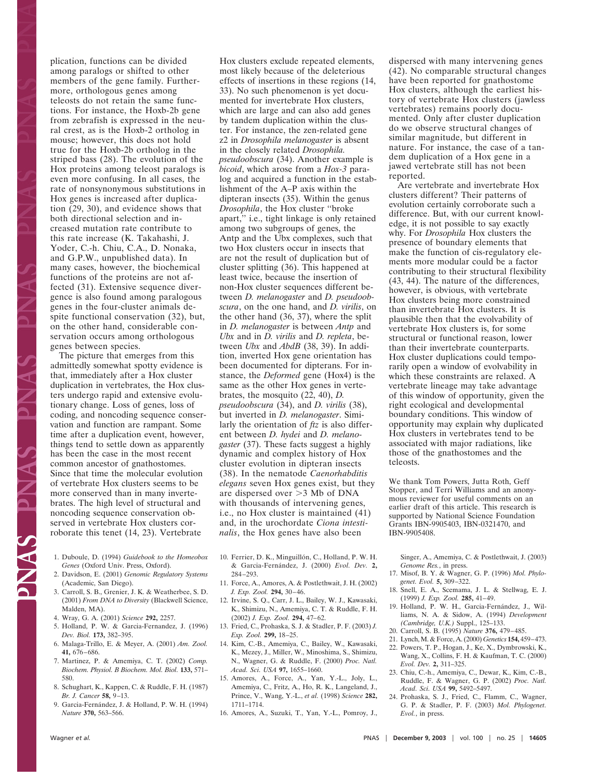plication, functions can be divided among paralogs or shifted to other members of the gene family. Furthermore, orthologous genes among teleosts do not retain the same functions. For instance, the Hoxb-2b gene from zebrafish is expressed in the neural crest, as is the Hoxb-2 ortholog in mouse; however, this does not hold true for the Hoxb-2b ortholog in the striped bass (28). The evolution of the Hox proteins among teleost paralogs is even more confusing. In all cases, the rate of nonsynonymous substitutions in Hox genes is increased after duplication (29, 30), and evidence shows that both directional selection and increased mutation rate contribute to this rate increase (K. Takahashi, J. Yoder, C.-h. Chiu, C.A., D. Nonaka, and G.P.W., unpublished data). In many cases, however, the biochemical functions of the proteins are not affected (31). Extensive sequence divergence is also found among paralogous genes in the four-cluster animals despite functional conservation (32), but, on the other hand, considerable conservation occurs among orthologous genes between species.

The picture that emerges from this admittedly somewhat spotty evidence is that, immediately after a Hox cluster duplication in vertebrates, the Hox clusters undergo rapid and extensive evolutionary change. Loss of genes, loss of coding, and noncoding sequence conservation and function are rampant. Some time after a duplication event, however, things tend to settle down as apparently has been the case in the most recent common ancestor of gnathostomes. Since that time the molecular evolution of vertebrate Hox clusters seems to be more conserved than in many invertebrates. The high level of structural and noncoding sequence conservation observed in vertebrate Hox clusters corroborate this tenet (14, 23). Vertebrate

- 1. Duboule, D. (1994) *Guidebook to the Homeobox Genes* (Oxford Univ. Press, Oxford).
- 2. Davidson, E. (2001) *Genomic Regulatory Systems* (Academic, San Diego).
- 3. Carroll, S. B., Grenier, J. K. & Weatherbee, S. D. (2001) *From DNA to Diversity* (Blackwell Science, Malden, MA).
- 4. Wray, G. A. (2001) *Science* **292,** 2257.
- 5. Holland, P. W. & Garcia-Fernandez, J. (1996) *Dev. Biol.* **173,** 382–395.
- 6. Malaga-Trillo, E. & Meyer, A. (2001) *Am. Zool.* **41,** 676–686.
- 7. Martinez, P. & Amemiya, C. T. (2002) *Comp. Biochem. Physiol. B Biochem. Mol. Biol.* **133,** 571– 580.
- 8. Schughart, K., Kappen, C. & Ruddle, F. H. (1987) *Br. J. Cancer* **58,** 9–13.
- 9. Garcia-Fernández, J. & Holland, P. W. H. (1994) *Nature* **370,** 563–566.

Hox clusters exclude repeated elements, most likely because of the deleterious effects of insertions in these regions (14, 33). No such phenomenon is yet documented for invertebrate Hox clusters, which are large and can also add genes by tandem duplication within the cluster. For instance, the zen-related gene z2 in *Drosophila melanogaster* is absent in the closely related *Drosophila. pseudoobscura* (34). Another example is *bicoid*, which arose from a *Hox-3* paralog and acquired a function in the establishment of the A–P axis within the dipteran insects (35). Within the genus *Drosophila*, the Hox cluster ''broke apart,'' i.e., tight linkage is only retained among two subgroups of genes, the Antp and the Ubx complexes, such that two Hox clusters occur in insects that are not the result of duplication but of cluster splitting (36). This happened at least twice, because the insertion of non-Hox cluster sequences different between *D. melanogaster* and *D. pseudoobscura*, on the one hand, and *D. virilis*, on the other hand (36, 37), where the split in *D. melanogaster* is between *Antp* and *Ubx* and in *D. virilis* and *D. repleta*, between *Ubx* and *AbdB* (38, 39). In addition, inverted Hox gene orientation has been documented for dipterans. For instance, the *Deformed* gene (Hox4) is the same as the other Hox genes in vertebrates, the mosquito (22, 40), *D. pseudoobscura* (34), and *D. virilis* (38), but inverted in *D. melanogaster*. Similarly the orientation of *ftz* is also different between *D. hydei* and *D. melanogaster* (37). These facts suggest a highly dynamic and complex history of Hox cluster evolution in dipteran insects (38). In the nematode *Caenorhabditis elegans* seven Hox genes exist, but they are dispersed over  $>3$  Mb of DNA with thousands of intervening genes, i.e., no Hox cluster is maintained (41) and, in the urochordate *Ciona intestinalis*, the Hox genes have also been

- 10. Ferrier, D. K., Minguillón, C., Holland, P. W. H. & Garcia-Ferna´ndez, J. (2000) *Evol. Dev.* **2,** 284–293.
- 11. Force, A., Amores, A. & Postlethwait, J. H. (2002) *J. Exp. Zool.* **294,** 30–46.
- 12. Irvine, S. Q., Carr, J. L., Bailey, W. J., Kawasaki, K., Shimizu, N., Amemiya, C. T. & Ruddle, F. H. (2002) *J. Exp. Zool.* **294,** 47–62.
- 13. Fried, C., Prohaska, S. J. & Stadler, P. F. (2003) *J. Exp. Zool.* **299,** 18–25.
- 14. Kim, C.-B., Amemiya, C., Bailey, W., Kawasaki, K., Mezey, J., Miller, W., Minoshima, S., Shimizu, N., Wagner, G. & Ruddle, F. (2000) *Proc. Natl. Acad. Sci. USA* **97,** 1655–1660.
- 15. Amores, A., Force, A., Yan, Y.-L., Joly, L., Amemiya, C., Fritz, A., Ho, R. K., Langeland, J., Prince, V., Wang, Y.-L., *et al.* (1998) *Science* **282,** 1711–1714.
- 16. Amores, A., Suzuki, T., Yan, Y.-L., Pomroy, J.,

dispersed with many intervening genes (42). No comparable structural changes have been reported for gnathostome Hox clusters, although the earliest history of vertebrate Hox clusters (jawless vertebrates) remains poorly documented. Only after cluster duplication do we observe structural changes of similar magnitude, but different in nature. For instance, the case of a tandem duplication of a Hox gene in a jawed vertebrate still has not been reported.

Are vertebrate and invertebrate Hox clusters different? Their patterns of evolution certainly corroborate such a difference. But, with our current knowledge, it is not possible to say exactly why. For *Drosophila* Hox clusters the presence of boundary elements that make the function of cis-regulatory elements more modular could be a factor contributing to their structural flexibility (43, 44). The nature of the differences, however, is obvious, with vertebrate Hox clusters being more constrained than invertebrate Hox clusters. It is plausible then that the evolvability of vertebrate Hox clusters is, for some structural or functional reason, lower than their invertebrate counterparts. Hox cluster duplications could temporarily open a window of evolvability in which these constraints are relaxed. A vertebrate lineage may take advantage of this window of opportunity, given the right ecological and developmental boundary conditions. This window of opportunity may explain why duplicated Hox clusters in vertebrates tend to be associated with major radiations, like those of the gnathostomes and the teleosts.

We thank Tom Powers, Jutta Roth, Geff Stopper, and Terri Williams and an anonymous reviewer for useful comments on an earlier draft of this article. This research is supported by National Science Foundation Grants IBN-9905403, IBN-0321470, and IBN-9905408.

Singer, A., Amemiya, C. & Postlethwait, J. (2003) *Genome Res.*, in press.

- 17. Misof, B. Y. & Wagner, G. P. (1996) *Mol. Phylogenet. Evol.* **5,** 309–322.
- 18. Snell, E. A., Scemama, J. L. & Stellwag, E. J. (1999) *J. Exp. Zool.* **285,** 41–49.
- 19. Holland, P. W. H., Garcia-Fernández, J., Williams, N. A. & Sidow, A. (1994) *Development (Cambridge, U.K.)* Suppl., 125–133.
- 20. Carroll, S. B. (1995) *Nature* **376,** 479–485.
- 21. Lynch, M. & Force, A. (2000) *Genetics* **154,** 459–473.
	- 22. Powers, T. P., Hogan, J., Ke, X., Dymbrowski, K., Wang, X., Collins, F. H. & Kaufman, T. C. (2000) *Evol. Dev.* **2,** 311–325.
	- 23. Chiu, C.-h., Amemiya, C., Dewar, K., Kim, C.-B., Ruddle, F. & Wagner, G. P. (2002) *Proc. Natl. Acad. Sci. USA* **99,** 5492–5497.
	- 24. Prohaska, S. J., Fried, C., Flamm, C., Wagner, G. P. & Stadler, P. F. (2003) *Mol. Phylogenet. Evol.*, in press.